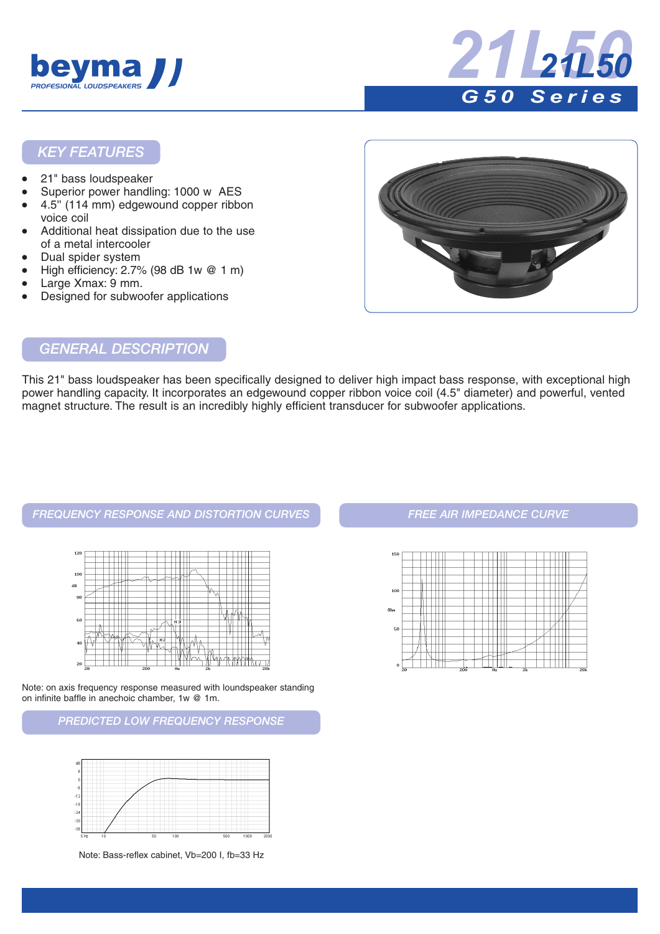



#### *KEY FEATURES*

- 21" bass loudspeaker
- Superior power handling: 1000 w AES
- 4.5" (114 mm) edgewound copper ribbon voice coil
- Additional heat dissipation due to the use of a metal intercooler
- Dual spider system
- High efficiency:  $2.7\%$  (98 dB 1w  $@$  1 m)
- Large Xmax: 9 mm.
- Designed for subwoofer applications



#### *GENERAL DESCRIPTION*

This 21" bass loudspeaker has been specifically designed to deliver high impact bass response, with exceptional high power handling capacity. It incorporates an edgewound copper ribbon voice coil (4.5" diameter) and powerful, vented magnet structure. The result is an incredibly highly efficient transducer for subwoofer applications.

#### *FREQUENCY RESPONSE AND DISTORTION CURVES FREE AIR IMPEDANCE CURVE*



Note: on axis frequency response measured with loundspeaker standing on infinite baffle in anechoic chamber, 1w @ 1m.

*PREDICTED LOW FREQUENCY RESPONSE*



Note: Bass-reflex cabinet, Vb=200 I, fb=33 Hz